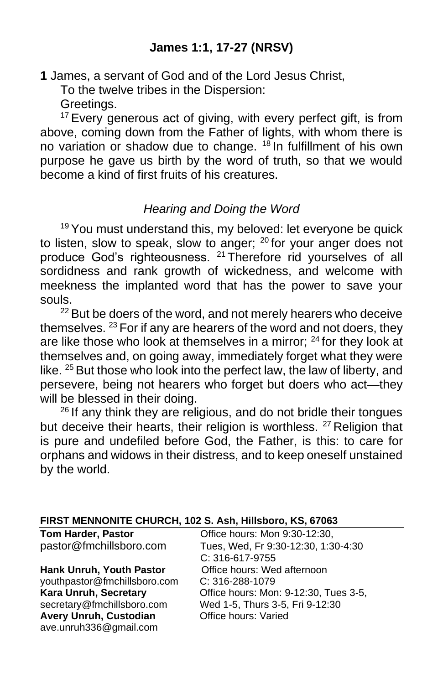**1** James, a servant of God and of the Lord Jesus Christ,

To the twelve tribes in the Dispersion:

Greetings.

<sup>17</sup> Every generous act of giving, with every perfect gift, is from above, coming down from the Father of lights, with whom there is no variation or shadow due to change. <sup>18</sup> In fulfillment of his own purpose he gave us birth by the word of truth, so that we would become a kind of first fruits of his creatures.

# *Hearing and Doing the Word*

 $19$  You must understand this, my beloved: let everyone be quick to listen, slow to speak, slow to anger;  $20$  for your anger does not produce God's righteousness. <sup>21</sup> Therefore rid yourselves of all sordidness and rank growth of wickedness, and welcome with meekness the implanted word that has the power to save your souls.

 $22$  But be doers of the word, and not merely hearers who deceive themselves. <sup>23</sup> For if any are hearers of the word and not doers, they are like those who look at themselves in a mirror;  $24$  for they look at themselves and, on going away, immediately forget what they were like. <sup>25</sup> But those who look into the perfect law, the law of liberty, and persevere, being not hearers who forget but doers who act—they will be blessed in their doing.

 $26$  If any think they are religious, and do not bridle their tongues but deceive their hearts, their religion is worthless. <sup>27</sup> Religion that is pure and undefiled before God, the Father, is this: to care for orphans and widows in their distress, and to keep oneself unstained by the world.

| FIRST MENNONITE CHURCH, 102 S. Ash, Hillsboro, KS, 67063 |  |
|----------------------------------------------------------|--|
|----------------------------------------------------------|--|

| <b>Tom Harder, Pastor</b>       | Office hours: Mon 9:30-12:30,         |
|---------------------------------|---------------------------------------|
| pastor@fmchillsboro.com         | Tues, Wed, Fr 9:30-12:30, 1:30-4:30   |
|                                 | C: 316-617-9755                       |
| <b>Hank Unruh, Youth Pastor</b> | Office hours: Wed afternoon           |
| youthpastor@fmchillsboro.com    | $C: 316 - 288 - 1079$                 |
| Kara Unruh, Secretary           | Office hours: Mon: 9-12:30, Tues 3-5, |
| secretary@fmchillsboro.com      | Wed 1-5, Thurs 3-5, Fri 9-12:30       |
| <b>Avery Unruh, Custodian</b>   | Office hours: Varied                  |
| ave.unruh336@gmail.com          |                                       |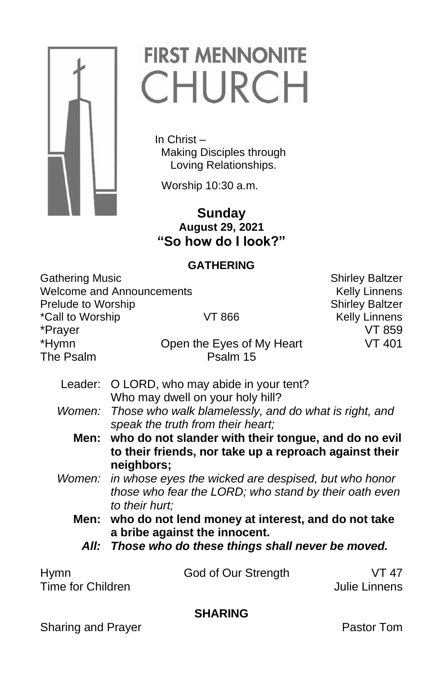

# **FIRST MENNONITE** CHURCH

 In Christ – Making Disciples through Loving Relationships.

Worship 10:30 a.m.

**Contract of the Sunday August 29, 2021 "So how do I look?"**

# **GATHERING**

| <b>Gathering Music</b>             |                                                                                            | <b>Shirley Baltzer</b> |  |
|------------------------------------|--------------------------------------------------------------------------------------------|------------------------|--|
| <b>Welcome and Announcements</b>   |                                                                                            | <b>Kelly Linnens</b>   |  |
| Prelude to Worship                 |                                                                                            | <b>Shirley Baltzer</b> |  |
| *Call to Worship<br>VT 866         |                                                                                            | <b>Kelly Linnens</b>   |  |
| *Prayer                            |                                                                                            | VT 859                 |  |
| *Hymn                              | Open the Eyes of My Heart                                                                  | <b>VT 401</b>          |  |
| The Psalm                          | Psalm 15                                                                                   |                        |  |
| Leader:                            | O LORD, who may abide in your tent?                                                        |                        |  |
|                                    | Who may dwell on your holy hill?                                                           |                        |  |
| Women:                             | Those who walk blamelessly, and do what is right, and<br>speak the truth from their heart; |                        |  |
| Men:                               | who do not slander with their tongue, and do no evil                                       |                        |  |
|                                    | to their friends, nor take up a reproach against their                                     |                        |  |
|                                    | neighbors;                                                                                 |                        |  |
|                                    |                                                                                            |                        |  |
|                                    | in whose eyes the wicked are despised, but who honor<br>Women:                             |                        |  |
|                                    | those who fear the LORD; who stand by their oath even                                      |                        |  |
|                                    | to their hurt;                                                                             |                        |  |
| Men:                               | who do not lend money at interest, and do not take                                         |                        |  |
|                                    | a bribe against the innocent.                                                              |                        |  |
| All:                               | Those who do these things shall never be moved.                                            |                        |  |
| <b>Hymn</b>                        | God of Our Strength                                                                        | VT 47                  |  |
| Time for Children<br>Julie Linnens |                                                                                            |                        |  |
| <b>SHARING</b>                     |                                                                                            |                        |  |

# Sharing and Prayer **Pastor Tom**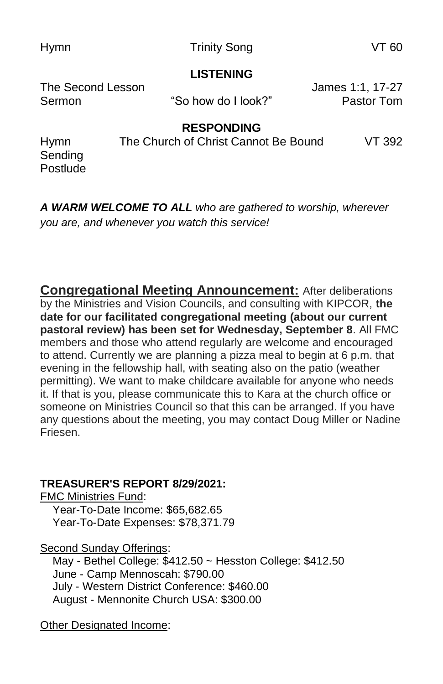Hymn **Trinity Song COVID-** VT 60

#### **LISTENING**

The Second Lesson James 1:1, 17-27 Sermon "So how do I look?" Pastor Tom

# **RESPONDING**

Hymn The Church of Christ Cannot Be Bound VT 392 Sending Postlude

*A WARM WELCOME TO ALL who are gathered to worship, wherever you are, and whenever you watch this service!*

**Congregational Meeting Announcement:** After deliberations by the Ministries and Vision Councils, and consulting with KIPCOR, **the date for our facilitated congregational meeting (about our current pastoral review) has been set for Wednesday, September 8**. All FMC members and those who attend regularly are welcome and encouraged to attend. Currently we are planning a pizza meal to begin at 6 p.m. that evening in the fellowship hall, with seating also on the patio (weather permitting). We want to make childcare available for anyone who needs it. If that is you, please communicate this to Kara at the church office or someone on Ministries Council so that this can be arranged. If you have any questions about the meeting, you may contact Doug Miller or Nadine Friesen.

# **TREASURER'S REPORT 8/29/2021:**

FMC Ministries Fund: Year-To-Date Income: \$65,682.65 Year-To-Date Expenses: \$78,371.79

Second Sunday Offerings:

 May - Bethel College: \$412.50 ~ Hesston College: \$412.50 June - Camp Mennoscah: \$790.00 July - Western District Conference: \$460.00 August - Mennonite Church USA: \$300.00

Other Designated Income: